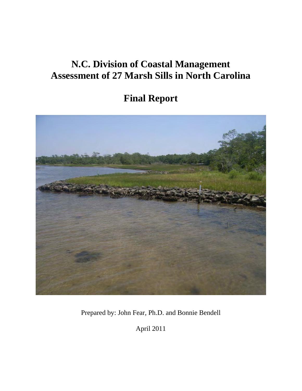# **N.C. Division of Coastal Management Assessment of 27 Marsh Sills in North Carolina**

# **Final Report**



Prepared by: John Fear, Ph.D. and Bonnie Bendell

April 2011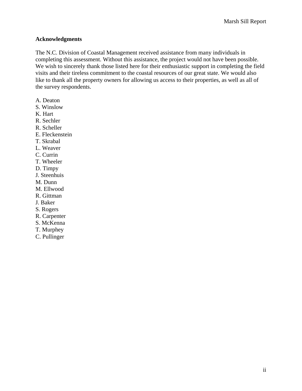# **Acknowledgments**

The N.C. Division of Coastal Management received assistance from many individuals in completing this assessment. Without this assistance, the project would not have been possible. We wish to sincerely thank those listed here for their enthusiastic support in completing the field visits and their tireless commitment to the coastal resources of our great state. We would also like to thank all the property owners for allowing us access to their properties, as well as all of the survey respondents.

- A. Deaton
- S. Winslow
- K. Hart
- R. Sechler
- R. Scheller
- E. Fleckenstein
- T. Skrabal
- L. Weaver
- C. Currin
- T. Wheeler
- D. Timpy
- J. Steenhuis
- M. Dunn
- M. Ellwood
- R. Gittman
- J. Baker
- S. Rogers
- R. Carpenter
- S. McKenna
- T. Murphey
- C. Pullinger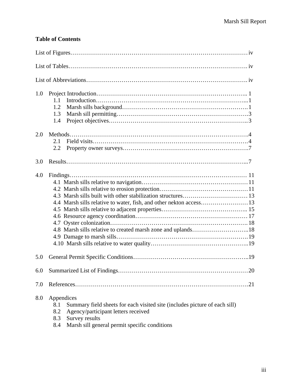# **Table of Contents**

| 1.0<br>1.1<br>1.2<br>1.3<br>1.4                                                                                                                                                                                                       |
|---------------------------------------------------------------------------------------------------------------------------------------------------------------------------------------------------------------------------------------|
| 2.0<br>2.1<br>2.2                                                                                                                                                                                                                     |
| 3.0                                                                                                                                                                                                                                   |
| 4.0                                                                                                                                                                                                                                   |
| 5.0                                                                                                                                                                                                                                   |
| .20                                                                                                                                                                                                                                   |
| 7.0                                                                                                                                                                                                                                   |
| 8.0<br>Appendices<br>Summary field sheets for each visited site (includes picture of each sill)<br>8.1<br>8.2<br>Agency/participant letters received<br>Survey results<br>8.3<br>Marsh sill general permit specific conditions<br>8.4 |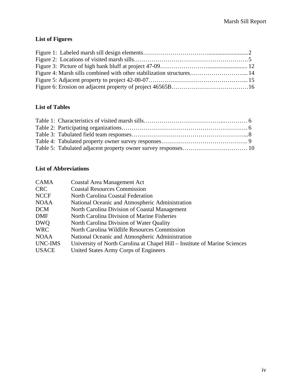# **List of Figures**

| Figure 4: Marsh sills combined with other stabilization structures 14 |  |
|-----------------------------------------------------------------------|--|
|                                                                       |  |
|                                                                       |  |

# **List of Tables**

# **List of Abbreviations**

| <b>CAMA</b>  | <b>Coastal Area Management Act</b>                                         |
|--------------|----------------------------------------------------------------------------|
| <b>CRC</b>   | <b>Coastal Resources Commission</b>                                        |
| <b>NCCF</b>  | North Carolina Coastal Federation                                          |
| <b>NOAA</b>  | National Oceanic and Atmospheric Administration                            |
| <b>DCM</b>   | North Carolina Division of Coastal Management                              |
| <b>DMF</b>   | North Carolina Division of Marine Fisheries                                |
| <b>DWQ</b>   | North Carolina Division of Water Quality                                   |
| <b>WRC</b>   | North Carolina Wildlife Resources Commission                               |
| <b>NOAA</b>  | National Oceanic and Atmospheric Administration                            |
| UNC-IMS      | University of North Carolina at Chapel Hill – Institute of Marine Sciences |
| <b>USACE</b> | United States Army Corps of Engineers                                      |
|              |                                                                            |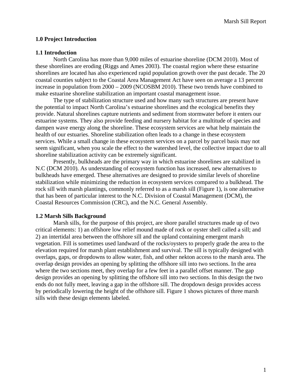# **1.0 Project Introduction**

### **1.1 Introduction**

 North Carolina has more than 9,000 miles of estuarine shoreline (DCM 2010). Most of these shorelines are eroding (Riggs and Ames 2003). The coastal region where these estuarine shorelines are located has also experienced rapid population growth over the past decade. The 20 coastal counties subject to the Coastal Area Management Act have seen on average a 13 percent increase in population from 2000 – 2009 (NCOSBM 2010). These two trends have combined to make estuarine shoreline stabilization an important coastal management issue.

The type of stabilization structure used and how many such structures are present have the potential to impact North Carolina's estuarine shorelines and the ecological benefits they provide. Natural shorelines capture nutrients and sediment from stormwater before it enters our estuarine systems. They also provide feeding and nursery habitat for a multitude of species and dampen wave energy along the shoreline. These ecosystem services are what help maintain the health of our estuaries. Shoreline stabilization often leads to a change in these ecosystem services. While a small change in these ecosystem services on a parcel by parcel basis may not seem significant, when you scale the effect to the watershed level, the collective impact due to all shoreline stabilization activity can be extremely significant.

Presently, bulkheads are the primary way in which estuarine shorelines are stabilized in N.C (DCM 2010). As understanding of ecosystem function has increased, new alternatives to bulkheads have emerged. These alternatives are designed to provide similar levels of shoreline stabilization while minimizing the reduction in ecosystem services compared to a bulkhead. The rock sill with marsh plantings, commonly referred to as a marsh sill (Figure 1), is one alternative that has been of particular interest to the N.C. Division of Coastal Management (DCM), the Coastal Resources Commission (CRC), and the N.C. General Assembly.

#### **1.2 Marsh Sills Background**

Marsh sills, for the purpose of this project, are shore parallel structures made up of two critical elements: 1) an offshore low relief mound made of rock or oyster shell called a sill; and 2) an intertidal area between the offshore sill and the upland containing emergent marsh vegetation. Fill is sometimes used landward of the rocks/oysters to properly grade the area to the elevation required for marsh plant establishment and survival. The sill is typically designed with overlaps, gaps, or dropdowns to allow water, fish, and other nekton access to the marsh area. The overlap design provides an opening by splitting the offshore sill into two sections. In the area where the two sections meet, they overlap for a few feet in a parallel offset manner. The gap design provides an opening by splitting the offshore sill into two sections. In this design the two ends do not fully meet, leaving a gap in the offshore sill. The dropdown design provides access by periodically lowering the height of the offshore sill. Figure 1 shows pictures of three marsh sills with these design elements labeled.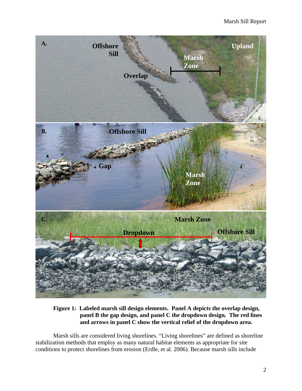

**Figure 1: Labeled marsh sill design elements. Panel A depicts the overlap design, panel B the gap design, and panel C the dropdown design. The red lines and arrows in panel C show the vertical relief of the dropdown area.** 

 Marsh sills are considered living shorelines. "Living shorelines" are defined as shoreline stabilization methods that employ as many natural habitat elements as appropriate for site conditions to protect shorelines from erosion (Erdle, et al. 2006). Because marsh sills include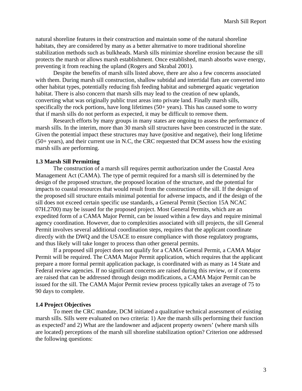natural shoreline features in their construction and maintain some of the natural shoreline habitats, they are considered by many as a better alternative to more traditional shoreline stabilization methods such as bulkheads. Marsh sills minimize shoreline erosion because the sill protects the marsh or allows marsh establishment. Once established, marsh absorbs wave energy, preventing it from reaching the upland (Rogers and Skrabal 2001).

 Despite the benefits of marsh sills listed above, there are also a few concerns associated with them. During marsh sill construction, shallow subtidal and intertidal flats are converted into other habitat types, potentially reducing fish feeding habitat and submerged aquatic vegetation habitat. There is also concern that marsh sills may lead to the creation of new uplands, converting what was originally public trust areas into private land. Finally marsh sills, specifically the rock portions, have long lifetimes (50+ years). This has caused some to worry that if marsh sills do not perform as expected, it may be difficult to remove them.

Research efforts by many groups in many states are ongoing to assess the performance of marsh sills. In the interim, more than 30 marsh sill structures have been constructed in the state. Given the potential impact these structures may have (positive and negative), their long lifetime (50+ years), and their current use in N.C, the CRC requested that DCM assess how the existing marsh sills are performing.

#### **1.3 Marsh Sill Permitting**

 The construction of a marsh sill requires permit authorization under the Coastal Area Management Act (CAMA). The type of permit required for a marsh sill is determined by the design of the proposed structure, the proposed location of the structure, and the potential for impacts to coastal resources that would result from the construction of the sill. If the design of the proposed sill structure entails minimal potential for adverse impacts, and if the design of the sill does not exceed certain specific use standards, a General Permit (Section 15A NCAC 07H.2700) may be issued for the proposed project. Most General Permits, which are an expedited form of a CAMA Major Permit, can be issued within a few days and require minimal agency coordination. However, due to complexities associated with sill projects, the sill General Permit involves several additional coordination steps, requires that the applicant coordinate directly with the DWQ and the USACE to ensure compliance with those regulatory programs, and thus likely will take longer to process than other general permits.

 If a proposed sill project does not qualify for a CAMA General Permit, a CAMA Major Permit will be required. The CAMA Major Permit application, which requires that the applicant prepare a more formal permit application package, is coordinated with as many as 14 State and Federal review agencies. If no significant concerns are raised during this review, or if concerns are raised that can be addressed through design modifications, a CAMA Major Permit can be issued for the sill. The CAMA Major Permit review process typically takes an average of 75 to 90 days to complete.

#### **1.4 Project Objectives**

 To meet the CRC mandate, DCM initiated a qualitative technical assessment of existing marsh sills. Sills were evaluated on two criteria: 1) Are the marsh sills performing their function as expected? and 2) What are the landowner and adjacent property owners' (where marsh sills are located) perceptions of the marsh sill shoreline stabilization option? Criterion one addressed the following questions: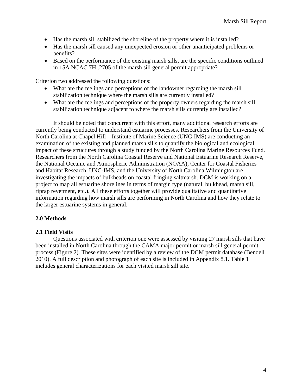- Has the marsh sill stabilized the shoreline of the property where it is installed?
- Has the marsh sill caused any unexpected erosion or other unanticipated problems or benefits?
- Based on the performance of the existing marsh sills, are the specific conditions outlined in 15A NCAC 7H .2705 of the marsh sill general permit appropriate?

Criterion two addressed the following questions:

- What are the feelings and perceptions of the landowner regarding the marsh sill stabilization technique where the marsh sills are currently installed?
- What are the feelings and perceptions of the property owners regarding the marsh sill stabilization technique adjacent to where the marsh sills currently are installed?

It should be noted that concurrent with this effort, many additional research efforts are currently being conducted to understand estuarine processes. Researchers from the University of North Carolina at Chapel Hill – Institute of Marine Science (UNC-IMS) are conducting an examination of the existing and planned marsh sills to quantify the biological and ecological impact of these structures through a study funded by the North Carolina Marine Resources Fund. Researchers from the North Carolina Coastal Reserve and National Estuarine Research Reserve, the National Oceanic and Atmospheric Administration (NOAA), Center for Coastal Fisheries and Habitat Research, UNC-IMS, and the University of North Carolina Wilmington are investigating the impacts of bulkheads on coastal fringing saltmarsh. DCM is working on a project to map all estuarine shorelines in terms of margin type (natural, bulkhead, marsh sill, riprap revetment, etc.). All these efforts together will provide qualitative and quantitative information regarding how marsh sills are performing in North Carolina and how they relate to the larger estuarine systems in general.

# **2.0 Methods**

# **2.1 Field Visits**

Questions associated with criterion one were assessed by visiting 27 marsh sills that have been installed in North Carolina through the CAMA major permit or marsh sill general permit process (Figure 2). These sites were identified by a review of the DCM permit database (Bendell 2010). A full description and photograph of each site is included in Appendix 8.1. Table 1 includes general characterizations for each visited marsh sill site.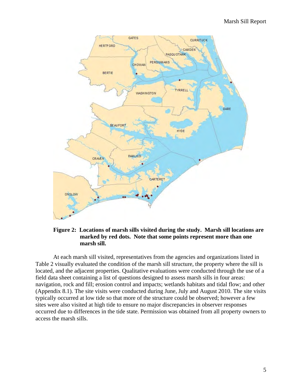

# **Figure 2: Locations of marsh sills visited during the study. Marsh sill locations are marked by red dots. Note that some points represent more than one marsh sill.**

At each marsh sill visited, representatives from the agencies and organizations listed in Table 2 visually evaluated the condition of the marsh sill structure, the property where the sill is located, and the adjacent properties. Qualitative evaluations were conducted through the use of a field data sheet containing a list of questions designed to assess marsh sills in four areas: navigation, rock and fill; erosion control and impacts; wetlands habitats and tidal flow; and other (Appendix 8.1). The site visits were conducted during June, July and August 2010. The site visits typically occurred at low tide so that more of the structure could be observed; however a few sites were also visited at high tide to ensure no major discrepancies in observer responses occurred due to differences in the tide state. Permission was obtained from all property owners to access the marsh sills.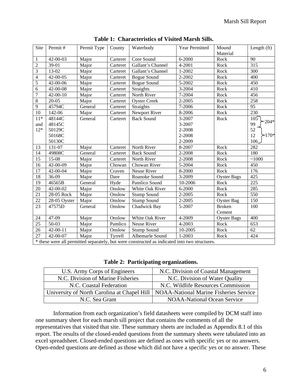| Site           | Permit#                                                                                       | Permit Type | County   | Waterbody           | Year Permitted | Mound<br>Material  | Length $(ft)$   |
|----------------|-----------------------------------------------------------------------------------------------|-------------|----------|---------------------|----------------|--------------------|-----------------|
| $\mathbf{1}$   | 42-00-03                                                                                      | Major       | Carteret | Core Sound          | $6 - 2000$     | Rock               | 90              |
| $\overline{2}$ | 39-01                                                                                         | Major       | Carteret | Gallant's Channel   | $4 - 2001$     | Rock               | 315             |
| 3              | 13-02                                                                                         | Major       | Carteret | Gallant's Channel   | 1-2002         | Rock               | 300             |
| $\overline{4}$ | 42-00-05                                                                                      | Major       | Carteret | <b>Bogue Sound</b>  | 2-2002         | Rock               | 400             |
| $\overline{5}$ | 42-00-06                                                                                      | Major       | Carteret | <b>Bogue Sound</b>  | 5-2002         | Rock               | 450             |
| 6              | 42-00-08                                                                                      | Major       | Carteret | Straights           | 3-2004         | Rock               | 410             |
| $\overline{7}$ | $42 - 00 - 10$                                                                                | Major       | Carteret | North River         | 7-2004         | Rock               | 456             |
| $\,8\,$        | $20 - 05$                                                                                     | Major       | Carteret | <b>Oyster Creek</b> | 2-2005         | Rock               | 258             |
| 9              | 45794C                                                                                        | General     | Carteret | Straights           | 7-2006         | Rock               | $\overline{95}$ |
| 10             | 142-06                                                                                        | Major       | Carteret | Newport River       | 8-2006         | Rock               | 230             |
| $11*$          | 48144C                                                                                        | General     | Carteret | <b>Back Sound</b>   | 3-2007         | Rock               | 105             |
| and            | 48145C                                                                                        |             |          |                     | 3-2007         |                    | $204*$<br>99    |
| $12*$          | 50129C                                                                                        |             |          |                     | 2-2008         |                    | 52              |
|                | 50168C                                                                                        |             |          |                     | 2-2008         |                    | $>170*$<br>12   |
|                | 50130C                                                                                        |             |          |                     | 2-2009         |                    | 106_            |
| 13             | 131-07                                                                                        | Major       | Carteret | North River         | 8-2007         | Rock               | 282             |
| 14             | 49808C                                                                                        | General     | Carteret | <b>Back Sound</b>   | 2-2008         | Rock               | 180             |
| 15             | $15-08$                                                                                       | Major       | Carteret | North River         | 2-2008         | Rock               | ~1000           |
| 16             | 42-00-09                                                                                      | Major       | Chowan   | Chowan River        | 5-2004         | Rock               | 450             |
| 17             | 42-00-04                                                                                      | Major       | Craven   | Neuse River         | 8-2000         | Rock               | 176             |
| 18             | 36-09                                                                                         | Major       | Dare     | Roanoke Sound       | 3-2009         | <b>Oyster Bags</b> | 425             |
| 19             | 46565B                                                                                        | General     | Hyde     | Pamlico Sound       | 10-2006        | Rock               | 225             |
| 20             | 42-00-02                                                                                      | Major       | Onslow   | White Oak River     | 6-2000         | Rock               | 285             |
| 21             | 28-05 Rock                                                                                    | Major       | Onslow   | <b>Stump Sound</b>  | 2-2005         | Rock               | 550             |
| 22             | 28-05 Oyster                                                                                  | Major       | Onslow   | <b>Stump Sound</b>  | 2-2005         | <b>Oyster Bag</b>  | 150             |
| 23             | 47575D                                                                                        | General     | Onslow   | Chadwick Bay        | 5-2007         | <b>Broken</b>      | 100             |
|                |                                                                                               |             |          |                     |                | Cement             |                 |
| 24             | 47-09                                                                                         | Major       | Onslow   | White Oak River     | 4-2009         | <b>Oyster Bags</b> | 400             |
| 25             | 50-03                                                                                         | Major       | Pamlico  | Neuse River         | 4-2003         | Rock               | 653             |
| 26             | $42 - 00 - 11$                                                                                | Major       | Onslow   | <b>Stump Sound</b>  | 10-2005        | Rock               | 62              |
| 27             | 42-00-07                                                                                      | Major       | Tyrrell  | Albemarle Sound     | $1 - 2003$     | Rock               | 424             |
|                | * these were all permitted separately, but were constructed as indicated into two structures. |             |          |                     |                |                    |                 |

**Table 1: Characteristics of Visited Marsh Sills.** 

**Table 2: Participating organizations.** 

| U.S. Army Corps of Engineers                | N.C. Division of Coastal Management           |
|---------------------------------------------|-----------------------------------------------|
| N.C. Division of Marine Fisheries           | N.C. Division of Water Quality                |
| N.C. Coastal Federation                     | N.C. Wildlife Resources Commission            |
| University of North Carolina at Chapel Hill | <b>NOAA-National Marine Fisheries Service</b> |
| N.C. Sea Grant                              | <b>NOAA-National Ocean Service</b>            |

Information from each organization's field datasheets were compiled by DCM staff into one summary sheet for each marsh sill project that contains the comments of all the representatives that visited that site. These summary sheets are included as Appendix 8.1 of this report. The results of the closed-ended questions from the summary sheets were tabulated into an excel spreadsheet. Closed-ended questions are defined as ones with specific yes or no answers. Open-ended questions are defined as those which did not have a specific yes or no answer. These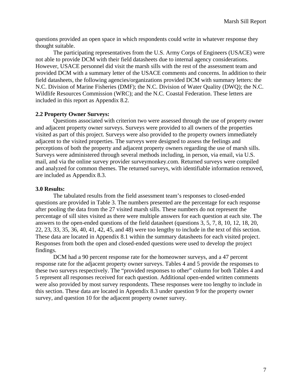questions provided an open space in which respondents could write in whatever response they thought suitable.

 The participating representatives from the U.S. Army Corps of Engineers (USACE) were not able to provide DCM with their field datasheets due to internal agency considerations. However, USACE personnel did visit the marsh sills with the rest of the assessment team and provided DCM with a summary letter of the USACE comments and concerns. In addition to their field datasheets, the following agencies/organizations provided DCM with summary letters: the N.C. Division of Marine Fisheries (DMF); the N.C. Division of Water Quality (DWQ); the N.C. Wildlife Resources Commission (WRC); and the N.C. Coastal Federation. These letters are included in this report as Appendix 8.2.

# **2.2 Property Owner Surveys:**

 Questions associated with criterion two were assessed through the use of property owner and adjacent property owner surveys. Surveys were provided to all owners of the properties visited as part of this project. Surveys were also provided to the property owners immediately adjacent to the visited properties. The surveys were designed to assess the feelings and perceptions of both the property and adjacent property owners regarding the use of marsh sills. Surveys were administered through several methods including, in person, via email, via U.S. mail, and via the online survey provider surveymonkey.com. Returned surveys were compiled and analyzed for common themes. The returned surveys, with identifiable information removed, are included as Appendix 8.3.

#### **3.0 Results:**

 The tabulated results from the field assessment team's responses to closed-ended questions are provided in Table 3. The numbers presented are the percentage for each response after pooling the data from the 27 visited marsh sills. These numbers do not represent the percentage of sill sites visited as there were multiple answers for each question at each site. The answers to the open-ended questions of the field datasheet (questions 3, 5, 7, 8, 10, 12, 18, 20, 22, 23, 33, 35, 36, 40, 41, 42, 45, and 48) were too lengthy to include in the text of this section. These data are located in Appendix 8.1 within the summary datasheets for each visited project. Responses from both the open and closed-ended questions were used to develop the project findings.

DCM had a 90 percent response rate for the homeowner surveys, and a 47 percent response rate for the adjacent property owner surveys. Tables 4 and 5 provide the responses to these two surveys respectively. The "provided responses to other" column for both Tables 4 and 5 represent all responses received for each question. Additional open-ended written comments were also provided by most survey respondents. These responses were too lengthy to include in this section. These data are located in Appendix 8.3 under question 9 for the property owner survey, and question 10 for the adjacent property owner survey.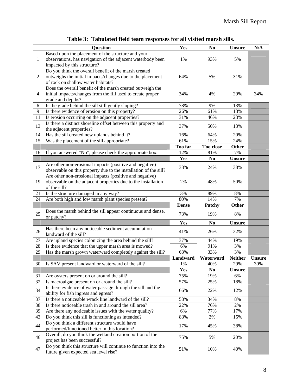|                | <b>Question</b>                                                                                         | Yes          | N <sub>0</sub>        | <b>Unsure</b>       | N/A           |
|----------------|---------------------------------------------------------------------------------------------------------|--------------|-----------------------|---------------------|---------------|
|                | Based upon the placement of the structure and your                                                      |              |                       |                     |               |
| $\mathbf{1}$   | observations, has navigation of the adjacent waterbody been<br>impacted by this structure?              | 1%           | 93%                   | 5%                  |               |
|                | Do you think the overall benefit of the marsh created                                                   |              |                       |                     |               |
| $\overline{2}$ | outweighs the initial impacts/changes due to the placement                                              | 64%          | 5%                    | 31%                 |               |
|                | of rock on shallow water habitats?                                                                      |              |                       |                     |               |
|                | Does the overall benefit of the marsh created outweigh the                                              |              |                       |                     |               |
| $\overline{4}$ | initial impacts/changes from the fill used to create proper                                             | 34%          | 4%                    | 29%                 | 34%           |
|                | grade and depths?                                                                                       |              |                       |                     |               |
| 6              | Is the grade behind the sill still gently sloping?                                                      | 78%          | 9%                    | 13%                 |               |
| 9              | Is there evidence of erosion on this property?                                                          | 26%          | 61%                   | 13%                 |               |
| 11             | Is erosion occurring on the adjacent properties?                                                        | 31%          | 46%                   | 23%                 |               |
| 13             | Is there a distinct shoreline offset between this property and<br>the adjacent properties?              | 37%          | 50%                   | 13%                 |               |
| 14             | Has the sill created new uplands behind it?                                                             | 16%          | 64%                   | 20%                 |               |
| 15             | Was the placement of the sill appropriate?                                                              | 61%          | 15%                   | 24%                 |               |
|                |                                                                                                         | Too far      | Too close             | <b>Other</b>        |               |
| 16             | If you answered "No", please check the appropriate box.                                                 | 12%          | 81%                   | 7%                  |               |
|                |                                                                                                         | Yes          | N <sub>0</sub>        | <b>Unsure</b>       |               |
| 17             | Are other non-erosional impacts (positive and negative)                                                 | 38%          | 24%                   | 38%                 |               |
|                | observable on this property due to the installation of the sill?                                        |              |                       |                     |               |
|                | Are other non-erosional impacts (positive and negative)                                                 |              |                       |                     |               |
| 19             | observable on the adjacent properties due to the installation                                           | 2%           | 48%                   | 50%                 |               |
| 21             | of the sill?                                                                                            | 3%           | 89%                   | 8%                  |               |
| 24             | Is the structure damaged in any way?<br>Are both high and low marsh plant species present?              | 80%          | 14%                   | 7%                  |               |
|                |                                                                                                         | <b>Dense</b> | Patchy                | <b>Other</b>        |               |
|                | Does the marsh behind the sill appear continuous and dense,                                             |              |                       |                     |               |
| 25             | or patchy?                                                                                              | 73%          | 19%                   | 8%                  |               |
|                |                                                                                                         | Yes          | N <sub>0</sub>        | <b>Unsure</b>       |               |
| 26             | Has there been any noticeable sediment accumulation                                                     | 41%          | 26%                   | 32%                 |               |
|                | landward of the sill?                                                                                   |              |                       |                     |               |
| 27             | Are upland species colonizing the area behind the sill?                                                 | 37%          | 44%                   | 19%                 |               |
| 28             | Is there evidence that the upper marsh area is mowed?                                                   | 6%           | 91%                   | 3%                  |               |
| 29             | Has the marsh grown waterward completely against the sill?                                              | 63%          | 33%                   | 3%                  |               |
|                |                                                                                                         | Landward     | Waterward             | <b>Neither</b>      | <b>Unsure</b> |
|                | 30   Is SAV present landward or waterward of the sill?                                                  | 1%           | 40%                   | 29%                 | 30%           |
| 31             | Are oysters present on or around the sill?                                                              | Yes<br>75%   | N <sub>0</sub><br>19% | <b>Unsure</b><br>6% |               |
| 32             | Is macroalgae present on or around the sill?                                                            | 57%          | 25%                   | 18%                 |               |
|                | Is there evidence of water passage through the sill and the                                             |              |                       |                     |               |
| 34             | ability for fish ingress and egress?                                                                    | 66%          | 22%                   | 12%                 |               |
| 37             | Is there a noticeable wrack line landward of the sill?                                                  | 58%          | 34%                   | 8%                  |               |
| 38             | Is there noticeable trash in and around the sill area?                                                  | 22%          | 76%                   | 2%                  |               |
| 39             | Are there any noticeable issues with the water quality?                                                 | 6%           | 77%                   | 17%                 |               |
| 43             | Do you think this sill is functioning as intended?                                                      | 83%          | 2%                    | 15%                 |               |
| 44             | Do you think a different structure would have                                                           | 17%          | 45%                   | 38%                 |               |
|                | performed/functioned better in this location?                                                           |              |                       |                     |               |
| 46             | Overall, do you think the wetland creation portion of the                                               | 75%          | 5%                    | 20%                 |               |
|                | project has been successful?                                                                            |              |                       |                     |               |
| 47             | Do you think this structure will continue to function into the<br>future given expected sea level rise? | 51%          | 10%                   | 40%                 |               |
|                |                                                                                                         |              |                       |                     |               |

**Table 3: Tabulated field team responses for all visited marsh sills.**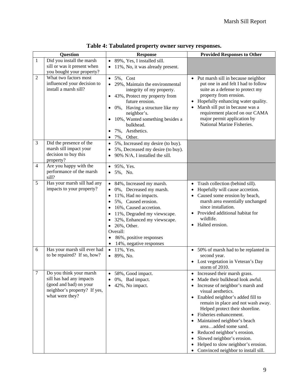| <b>Question</b> |                                                                                                                                  | <b>Response</b>                                                                                                                                                                                                                                                                                                                                                                  | <b>Provided Responses to Other</b>                                                                                                                                                                                                                                                                                                                                                                                                                                                                                         |
|-----------------|----------------------------------------------------------------------------------------------------------------------------------|----------------------------------------------------------------------------------------------------------------------------------------------------------------------------------------------------------------------------------------------------------------------------------------------------------------------------------------------------------------------------------|----------------------------------------------------------------------------------------------------------------------------------------------------------------------------------------------------------------------------------------------------------------------------------------------------------------------------------------------------------------------------------------------------------------------------------------------------------------------------------------------------------------------------|
| $\mathbf{1}$    | Did you install the marsh<br>sill or was it present when<br>you bought your property?                                            | • 89%, Yes, I installed sill.<br>11%, No, it was already present.<br>$\bullet$                                                                                                                                                                                                                                                                                                   |                                                                                                                                                                                                                                                                                                                                                                                                                                                                                                                            |
| $\overline{2}$  | What two factors most<br>influenced your decision to<br>install a marsh sill?                                                    | 5%, Cost<br>$\bullet$<br>29%, Maintain the environmental<br>$\bullet$<br>integrity of my property.<br>43%, Protect my property from<br>$\bullet$<br>future erosion.<br>0%, Having a structure like my<br>٠<br>neighbor's.<br>10%, Wanted something besides a<br>٠<br>bulkhead.<br>7%, Aesthetics.<br>٠<br>7%, Other.<br>$\bullet$                                                | • Put marsh sill in because neighbor<br>put one in and felt I had to follow<br>suite as a defense to protect my<br>property from erosion.<br>Hopefully enhancing water quality.<br>Marsh sill put in because was a<br>requirement placed on our CAMA<br>major permit application by<br>National Marine Fisheries.                                                                                                                                                                                                          |
| 3               | Did the presence of the<br>marsh sill impact your<br>decision to buy this<br>property?                                           | 5%, Increased my desire (to buy).<br>$\bullet$<br>5%, Decreased my desire (to buy).<br>$\bullet$<br>90% N/A, I installed the sill.<br>$\bullet$                                                                                                                                                                                                                                  |                                                                                                                                                                                                                                                                                                                                                                                                                                                                                                                            |
| $\overline{4}$  | Are you happy with the<br>performance of the marsh<br>sill?                                                                      | 95%, Yes.<br>$\bullet$<br>5%, No.<br>$\bullet$                                                                                                                                                                                                                                                                                                                                   |                                                                                                                                                                                                                                                                                                                                                                                                                                                                                                                            |
| 5               | Has your marsh sill had any<br>impacts to your property?                                                                         | 84%, Increased my marsh.<br>$\bullet$<br>0%, Decreased my marsh.<br>11%, Had no impacts.<br>$\bullet$<br>5%, Caused erosion.<br>$\bullet$<br>16%, Caused accretion.<br>$\bullet$<br>11%, Degraded my viewscape.<br>$\bullet$<br>32%, Enhanced my viewscape.<br>$\bullet$<br>$\bullet$ 26%, Other.<br>Overall:<br>86%, positive responses<br>$\bullet$<br>14%, negative responses | Trash collection (behind sill).<br>Hopefully will cause accretion.<br>• Caused some erosion by beach,<br>marsh area essentially unchanged<br>since installation.<br>Provided additional habitat for<br>wildlife.<br>Halted erosion.                                                                                                                                                                                                                                                                                        |
| 6               | Has your marsh sill ever had<br>to be repaired? If so, how?                                                                      | • $11\%,$ Yes.<br>89%, No.<br>$\bullet$                                                                                                                                                                                                                                                                                                                                          | • 50% of marsh had to be replanted in<br>second year.<br>Lost vegetation in Veteran's Day<br>storm of 2010.                                                                                                                                                                                                                                                                                                                                                                                                                |
| 7               | Do you think your marsh<br>sill has had any impacts<br>(good and bad) on your<br>neighbor's property? If yes,<br>what were they? | 58%, Good impact.<br>٠<br>0%, Bad impact.<br>$\bullet$<br>42%, No impact.<br>$\bullet$                                                                                                                                                                                                                                                                                           | Increased their marsh grass.<br>٠<br>Made their bulkhead look awful.<br>Increase of neighbor's marsh and<br>$\bullet$<br>visual aesthetics.<br>Enabled neighbor's added fill to<br>$\bullet$<br>remain in place and not wash away.<br>Helped protect their shoreline.<br>Fisheries enhancement.<br>Maintained neighbor's beach<br>$\bullet$<br>areaadded some sand.<br>Reduced neighbor's erosion.<br>Slowed neighbor's erosion.<br>Helped to slow neighbor's erosion.<br>Convinced neighbor to install sill.<br>$\bullet$ |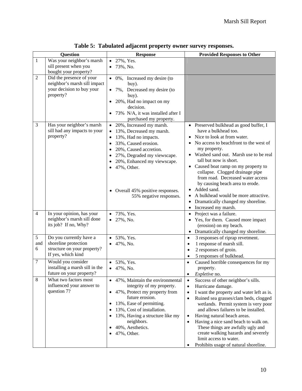| <b>Question</b> |                                                                                                      | <b>Response</b>                                                                                                                                                                                                                                                                 | <b>Provided Responses to Other</b>                                                                                                                                                                                                                                                                                                                                                                                                                                                                                                |
|-----------------|------------------------------------------------------------------------------------------------------|---------------------------------------------------------------------------------------------------------------------------------------------------------------------------------------------------------------------------------------------------------------------------------|-----------------------------------------------------------------------------------------------------------------------------------------------------------------------------------------------------------------------------------------------------------------------------------------------------------------------------------------------------------------------------------------------------------------------------------------------------------------------------------------------------------------------------------|
| $\mathbf{1}$    | Was your neighbor's marsh<br>sill present when you<br>bought your property?                          | 27%, Yes.<br>73%, No.                                                                                                                                                                                                                                                           |                                                                                                                                                                                                                                                                                                                                                                                                                                                                                                                                   |
| $\overline{2}$  | Did the presence of your<br>neighbor's marsh sill impact<br>your decision to buy your<br>property?   | • 0%, Increased my desire (to<br>buy).<br>7%, Decreased my desire (to<br>buy).<br>20%, Had no impact on my<br>decision.<br>73% N/A, it was installed after I<br>purchased my property.                                                                                          |                                                                                                                                                                                                                                                                                                                                                                                                                                                                                                                                   |
| 3               | Has your neighbor's marsh<br>sill had any impacts to your<br>property?                               | • 20%, Increased my marsh.<br>13%, Decreased my marsh.<br>13%, Had no impacts.<br>33%, Caused erosion.<br>20%, Caused accretion.<br>27%, Degraded my viewscape.<br>20%, Enhanced my viewscape.<br>• 47%, Other.<br>• Overall 45% positive responses.<br>55% negative responses. | • Preserved bulkhead as good buffer, I<br>have a bulkhead too.<br>Nice to look at from water.<br>No access to beachfront to the west of<br>my property.<br>Washed sand out. Marsh use to be real<br>tall but now is short.<br>Caused boat ramp on my property to<br>٠<br>collapse. Clogged drainage pipe<br>from road. Decreased water access<br>by causing beach area to erode.<br>Added sand.<br>٠<br>A bulkhead would be more attractive.<br>٠<br>Dramatically changed my shoreline.<br>٠<br>• Increased my marsh.             |
| $\overline{4}$  | In your opinion, has your<br>neighbor's marsh sill done<br>its job? If no, Why?                      | • 73%, Yes.<br>27%, No.                                                                                                                                                                                                                                                         | Project was a failure.<br>$\bullet$<br>Yes, for them. Caused more impact<br>(erosion) on my beach.<br>Dramatically changed my shoreline.<br>$\bullet$                                                                                                                                                                                                                                                                                                                                                                             |
| 5<br>and<br>6   | Do you currently have a<br>shoreline protection<br>structure on your property?<br>If yes, which kind | 53%, Yes.<br>47%, No.                                                                                                                                                                                                                                                           | 3 responses of riprap revetment.<br>$\bullet$<br>1 response of marsh sill.<br>$\bullet$<br>2 responses of groin.<br>$\bullet$<br>5 responses of bulkhead.                                                                                                                                                                                                                                                                                                                                                                         |
| 7               | Would you consider<br>installing a marsh sill in the<br>future on your property?                     | 53%, Yes.<br>$\bullet$ 47%, No.                                                                                                                                                                                                                                                 | Caused horrible consequences for my<br>$\bullet$<br>property.<br>$\bullet$<br><i>Expletive</i> no.                                                                                                                                                                                                                                                                                                                                                                                                                                |
| 8               | What two factors most<br>influenced your answer to<br>question 7?                                    | • 47%, Maintain the environmental<br>integrity of my property.<br>• 47%, Protect my property from<br>future erosion.<br>13%, Ease of permitting.<br>13%, Cost of installation.<br>13%, Having a structure like my<br>neighbors.<br>40%, Aesthetics.<br>47%, Other.              | Success of other neighbor's sills.<br>$\bullet$<br>Hurricane damage.<br>$\bullet$<br>I want the property and water left as is.<br>$\bullet$<br>Ruined sea grasses/clam beds, clogged<br>$\bullet$<br>wetlands. Permit system is very poor<br>and allows failures to be installed.<br>Having natural beach areas.<br>$\bullet$<br>Having a nice sand beach to walk on.<br>$\bullet$<br>These things are awfully ugly and<br>create walking hazards and severely<br>limit access to water.<br>Prohibits usage of natural shoreline. |

**Table 5: Tabulated adjacent property owner survey responses.**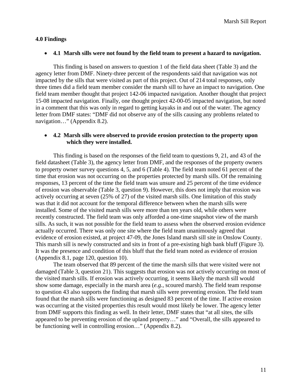#### **4.0 Findings**

#### • **4.1 Marsh sills were not found by the field team to present a hazard to navigation.**

This finding is based on answers to question 1 of the field data sheet (Table 3) and the agency letter from DMF. Ninety-three percent of the respondents said that navigation was not impacted by the sills that were visited as part of this project. Out of 214 total responses, only three times did a field team member consider the marsh sill to have an impact to navigation. One field team member thought that project 142-06 impacted navigation. Another thought that project 15-08 impacted navigation. Finally, one thought project 42-00-05 impacted navigation, but noted in a comment that this was only in regard to getting kayaks in and out of the water. The agency letter from DMF states: "DMF did not observe any of the sills causing any problems related to navigation…" (Appendix 8.2).

# • **4.2 Marsh sills were observed to provide erosion protection to the property upon which they were installed.**

This finding is based on the responses of the field team to questions 9, 21, and 43 of the field datasheet (Table 3), the agency letter from DMF, and the responses of the property owners to property owner survey questions 4, 5, and 6 (Table 4). The field team noted 61 percent of the time that erosion was not occurring on the properties protected by marsh sills. Of the remaining responses, 13 percent of the time the field team was unsure and 25 percent of the time evidence of erosion was observable (Table 3, question 9). However, this does not imply that erosion was actively occurring at seven (25% of 27) of the visited marsh sills. One limitation of this study was that it did not account for the temporal difference between when the marsh sills were installed. Some of the visited marsh sills were more than ten years old, while others were recently constructed. The field team was only afforded a one-time snapshot view of the marsh sills. As such, it was not possible for the field team to assess when the observed erosion evidence actually occurred. There was only one site where the field team unanimously agreed that evidence of erosion existed, at project 47-09, the Jones Island marsh sill site in Onslow County. This marsh sill is newly constructed and sits in front of a pre-existing high bank bluff (Figure 3). It was the presence and condition of this bluff that the field team noted as evidence of erosion (Appendix 8.1, page 120, question 10).

The team observed that 89 percent of the time the marsh sills that were visited were not damaged (Table 3, question 21). This suggests that erosion was not actively occurring on most of the visited marsh sills. If erosion was actively occurring, it seems likely the marsh sill would show some damage, especially in the marsh area (*e.g.*, scoured marsh). The field team response to question 43 also supports the finding that marsh sills were preventing erosion. The field team found that the marsh sills were functioning as designed 83 percent of the time. If active erosion was occurring at the visited properties this result would most likely be lower. The agency letter from DMF supports this finding as well. In their letter, DMF states that "at all sites, the sills appeared to be preventing erosion of the upland property…" and "Overall, the sills appeared to be functioning well in controlling erosion…" (Appendix 8.2).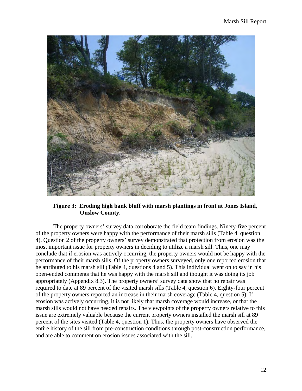

**Figure 3: Eroding high bank bluff with marsh plantings in front at Jones Island, Onslow County.**

 The property owners' survey data corroborate the field team findings. Ninety-five percent of the property owners were happy with the performance of their marsh sills (Table 4, question 4). Question 2 of the property owners' survey demonstrated that protection from erosion was the most important issue for property owners in deciding to utilize a marsh sill. Thus, one may conclude that if erosion was actively occurring, the property owners would not be happy with the performance of their marsh sills. Of the property owners surveyed, only one reported erosion that he attributed to his marsh sill (Table 4, questions 4 and 5). This individual went on to say in his open-ended comments that he was happy with the marsh sill and thought it was doing its job appropriately (Appendix 8.3). The property owners' survey data show that no repair was required to date at 89 percent of the visited marsh sills (Table 4, question 6). Eighty-four percent of the property owners reported an increase in their marsh coverage (Table 4, question 5). If erosion was actively occurring, it is not likely that marsh coverage would increase, or that the marsh sills would not have needed repairs. The viewpoints of the property owners relative to this issue are extremely valuable because the current property owners installed the marsh sill at 89 percent of the sites visited (Table 4, question 1). Thus, the property owners have observed the entire history of the sill from pre-construction conditions through post-construction performance, and are able to comment on erosion issues associated with the sill.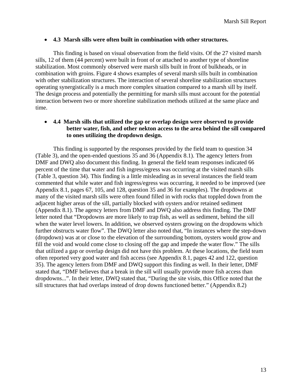#### • **4.3 Marsh sills were often built in combination with other structures.**

This finding is based on visual observation from the field visits. Of the 27 visited marsh sills, 12 of them (44 percent) were built in front of or attached to another type of shoreline stabilization. Most commonly observed were marsh sills built in front of bulkheads, or in combination with groins. Figure 4 shows examples of several marsh sills built in combination with other stabilization structures. The interaction of several shoreline stabilization structures operating synergistically is a much more complex situation compared to a marsh sill by itself. The design process and potentially the permitting for marsh sills must account for the potential interaction between two or more shoreline stabilization methods utilized at the same place and time.

# • **4.4 Marsh sills that utilized the gap or overlap design were observed to provide better water, fish, and other nekton access to the area behind the sill compared to ones utilizing the dropdown design.**

This finding is supported by the responses provided by the field team to question 34 (Table 3), and the open-ended questions 35 and 36 (Appendix 8.1). The agency letters from DMF and DWQ also document this finding. In general the field team responses indicated 66 percent of the time that water and fish ingress/egress was occurring at the visited marsh sills (Table 3, question 34). This finding is a little misleading as in several instances the field team commented that while water and fish ingress/egress was occurring, it needed to be improved (see Appendix 8.1, pages 67, 105, and 128, question 35 and 36 for examples). The dropdowns at many of the visited marsh sills were often found filled in with rocks that toppled down from the adjacent higher areas of the sill, partially blocked with oysters and/or retained sediment (Appendix 8.1). The agency letters from DMF and DWQ also address this finding. The DMF letter noted that "Dropdowns are more likely to trap fish, as well as sediment, behind the sill when the water level lowers. In addition, we observed oysters growing on the dropdowns which further obstructs water flow". The DWQ letter also noted that, "In instances where the step-down (dropdown) was at or close to the elevation of the surrounding bottom, oysters would grow and fill the void and would come close to closing off the gap and impede the water flow." The sills that utilized a gap or overlap design did not have this problem. At these locations, the field team often reported very good water and fish access (see Appendix 8.1, pages 42 and 122, question 35). The agency letters from DMF and DWQ support this finding as well. In their letter, DMF stated that, "DMF believes that a break in the sill will usually provide more fish access than dropdowns...". In their letter, DWQ stated that, "During the site visits, this Office noted that the sill structures that had overlaps instead of drop downs functioned better." (Appendix 8.2)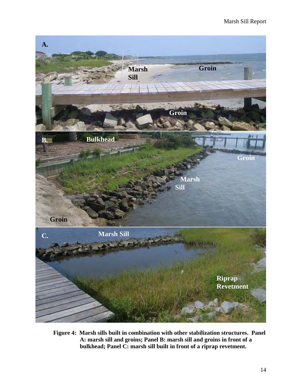

**Figure 4: Marsh sills built in combination with other stabilization structures. Panel A: marsh sill and groins; Panel B: marsh sill and groins in front of a bulkhead; Panel C: marsh sill built in front of a riprap revetment.**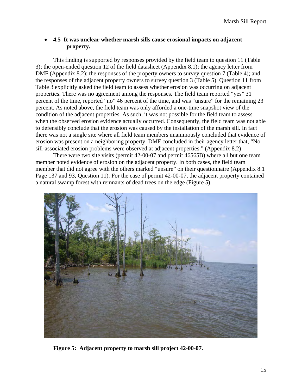# • **4.5 It was unclear whether marsh sills cause erosional impacts on adjacent property.**

This finding is supported by responses provided by the field team to question 11 (Table 3); the open-ended question 12 of the field datasheet (Appendix 8.1); the agency letter from DMF (Appendix 8.2); the responses of the property owners to survey question 7 (Table 4); and the responses of the adjacent property owners to survey question 3 (Table 5). Question 11 from Table 3 explicitly asked the field team to assess whether erosion was occurring on adjacent properties. There was no agreement among the responses. The field team reported "yes" 31 percent of the time, reported "no" 46 percent of the time, and was "unsure" for the remaining 23 percent. As noted above, the field team was only afforded a one-time snapshot view of the condition of the adjacent properties. As such, it was not possible for the field team to assess when the observed erosion evidence actually occurred. Consequently, the field team was not able to defensibly conclude that the erosion was caused by the installation of the marsh sill. In fact there was not a single site where all field team members unanimously concluded that evidence of erosion was present on a neighboring property. DMF concluded in their agency letter that, "No sill-associated erosion problems were observed at adjacent properties." (Appendix 8.2)

There were two site visits (permit 42-00-07 and permit 46565B) where all but one team member noted evidence of erosion on the adjacent property. In both cases, the field team member that did not agree with the others marked "unsure" on their questionnaire (Appendix 8.1 Page 137 and 93, Question 11). For the case of permit 42-00-07, the adjacent property contained a natural swamp forest with remnants of dead trees on the edge (Figure 5).



**Figure 5: Adjacent property to marsh sill project 42-00-07.**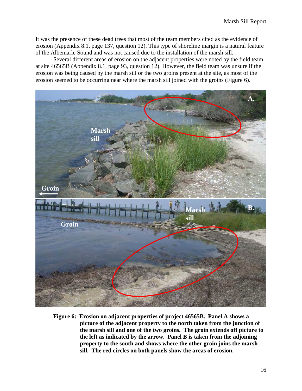It was the presence of these dead trees that most of the team members cited as the evidence of erosion (Appendix 8.1, page 137, question 12). This type of shoreline margin is a natural feature of the Albemarle Sound and was not caused due to the installation of the marsh sill.

 Several different areas of erosion on the adjacent properties were noted by the field team at site 46565B (Appendix 8.1, page 93, question 12). However, the field team was unsure if the erosion was being caused by the marsh sill or the two groins present at the site, as most of the erosion seemed to be occurring near where the marsh sill joined with the groins (Figure 6).



**Figure 6: Erosion on adjacent properties of project 46565B. Panel A shows a picture of the adjacent property to the north taken from the junction of the marsh sill and one of the two groins. The groin extends off picture to the left as indicated by the arrow. Panel B is taken from the adjoining property to the south and shows where the other groin joins the marsh sill. The red circles on both panels show the areas of erosion.**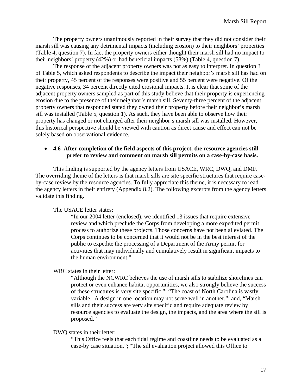The property owners unanimously reported in their survey that they did not consider their marsh sill was causing any detrimental impacts (including erosion) to their neighbors' properties (Table 4, question 7). In fact the property owners either thought their marsh sill had no impact to their neighbors' property (42%) or had beneficial impacts (58%) (Table 4, question 7).

The response of the adjacent property owners was not as easy to interpret. In question 3 of Table 5, which asked respondents to describe the impact their neighbor's marsh sill has had on their property, 45 percent of the responses were positive and 55 percent were negative. Of the negative responses, 34 percent directly cited erosional impacts. It is clear that some of the adjacent property owners sampled as part of this study believe that their property is experiencing erosion due to the presence of their neighbor's marsh sill. Seventy-three percent of the adjacent property owners that responded stated they owned their property before their neighbor's marsh sill was installed (Table 5, question 1). As such, they have been able to observe how their property has changed or not changed after their neighbor's marsh sill was installed. However, this historical perspective should be viewed with caution as direct cause and effect can not be solely based on observational evidence.

# • **4.6 After completion of the field aspects of this project, the resource agencies still prefer to review and comment on marsh sill permits on a case-by-case basis.**

This finding is supported by the agency letters from USACE, WRC, DWQ, and DMF. The overriding theme of the letters is that marsh sills are site specific structures that require caseby-case review by the resource agencies. To fully appreciate this theme, it is necessary to read the agency letters in their entirety (Appendix 8.2). The following excerpts from the agency letters validate this finding.

The USACE letter states:

"In our 2004 letter (enclosed), we identified 13 issues that require extensive review and which preclude the Corps from developing a more expedited permit process to authorize these projects. Those concerns have not been alleviated. The Corps continues to be concerned that it would not be in the best interest of the public to expedite the processing of a Department of the Army permit for activities that may individually and cumulatively result in significant impacts to the human environment."

WRC states in their letter:

"Although the NCWRC believes the use of marsh sills to stabilize shorelines can protect or even enhance habitat opportunities, we also strongly believe the success of these structures is very site specific."; "The coast of North Carolina is vastly variable. A design in one location may not serve well in another."; and, "Marsh sills and their success are very site specific and require adequate review by resource agencies to evaluate the design, the impacts, and the area where the sill is proposed."

DWQ states in their letter:

"This Office feels that each tidal regime and coastline needs to be evaluated as a case-by case situation."; "The sill evaluation project allowed this Office to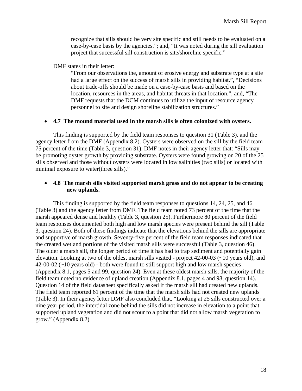recognize that sills should be very site specific and still needs to be evaluated on a case-by-case basis by the agencies."; and, "It was noted during the sill evaluation project that successful sill construction is site/shoreline specific."

DMF states in their letter:

"From our observations the, amount of erosive energy and substrate type at a site had a large effect on the success of marsh sills in providing habitat.", "Decisions about trade-offs should be made on a case-by-case basis and based on the location, resources in the areas, and habitat threats in that location.", and, "The DMF requests that the DCM continues to utilize the input of resource agency personnel to site and design shoreline stabilization structures."

#### • **4.7 The mound material used in the marsh sills is often colonized with oysters.**

This finding is supported by the field team responses to question 31 (Table 3), and the agency letter from the DMF (Appendix 8.2). Oysters were observed on the sill by the field team 75 percent of the time (Table 3, question 31). DMF notes in their agency letter that: "Sills may be promoting oyster growth by providing substrate. Oysters were found growing on 20 of the 25 sills observed and those without oysters were located in low salinities (two sills) or located with minimal exposure to water(three sills)."

### • **4.8 The marsh sills visited supported marsh grass and do not appear to be creating new uplands.**

 This finding is supported by the field team responses to questions 14, 24, 25, and 46 (Table 3) and the agency letter from DMF. The field team noted 73 percent of the time that the marsh appeared dense and healthy (Table 3, question 25). Furthermore 80 percent of the field team responses documented both high and low marsh species were present behind the sill (Table 3, question 24). Both of these findings indicate that the elevations behind the sills are appropriate and supportive of marsh growth. Seventy-five percent of the field team responses indicated that the created wetland portions of the visited marsh sills were successful (Table 3, question 46). The older a marsh sill, the longer period of time it has had to trap sediment and potentially gain elevation. Looking at two of the oldest marsh sills visited - project 42-00-03 (~10 years old), and  $42-00-02$  ( $\sim$ 10 years old) - both were found to still support high and low marsh species (Appendix 8.1, pages 5 and 99, question 24). Even at these oldest marsh sills, the majority of the field team noted no evidence of upland creation (Appendix 8.1, pages 4 and 98, question 14). Question 14 of the field datasheet specifically asked if the marsh sill had created new uplands. The field team reported 61 percent of the time that the marsh sills had not created new uplands (Table 3). In their agency letter DMF also concluded that, "Looking at 25 sills constructed over a nine year period, the intertidal zone behind the sills did not increase in elevation to a point that supported upland vegetation and did not scour to a point that did not allow marsh vegetation to grow." (Appendix 8.2)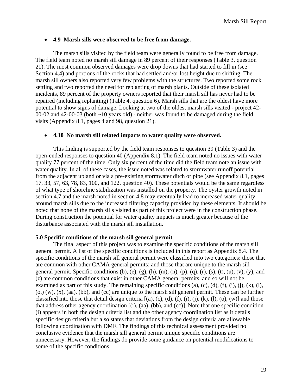#### • **4.9 Marsh sills were observed to be free from damage.**

 The marsh sills visited by the field team were generally found to be free from damage. The field team noted no marsh sill damage in 89 percent of their responses (Table 3, question 21). The most common observed damages were drop downs that had started to fill in (see Section 4.4) and portions of the rocks that had settled and/or lost height due to shifting. The marsh sill owners also reported very few problems with the structures. Two reported some rock settling and two reported the need for replanting of marsh plants. Outside of these isolated incidents, 89 percent of the property owners reported that their marsh sill has never had to be repaired (including replanting) (Table 4, question 6). Marsh sills that are the oldest have more potential to show signs of damage. Looking at two of the oldest marsh sills visited - project 42- 00-02 and 42-00-03 (both ~10 years old) - neither was found to be damaged during the field visits (Appendix 8.1, pages 4 and 98, question 21).

#### • **4.10 No marsh sill related impacts to water quality were observed.**

This finding is supported by the field team responses to question 39 (Table 3) and the open-ended responses to question 40 (Appendix 8.1). The field team noted no issues with water quality 77 percent of the time. Only six percent of the time did the field team note an issue with water quality. In all of these cases, the issue noted was related to stormwater runoff potential from the adjacent upland or via a pre-existing stormwater ditch or pipe (see Appendix 8.1, pages 17, 33, 57, 63, 78, 83, 100, and 122, question 40). These potentials would be the same regardless of what type of shoreline stabilization was installed on the property. The oyster growth noted in section 4.7 and the marsh noted in section 4.8 may eventually lead to increased water quality around marsh sills due to the increased filtering capacity provided by these elements. It should be noted that none of the marsh sills visited as part of this project were in the construction phase. During construction the potential for water quality impacts is much greater because of the disturbance associated with the marsh sill installation.

#### **5.0 Specific conditions of the marsh sill general permit**

The final aspect of this project was to examine the specific conditions of the marsh sill general permit. A list of the specific conditions is included in this report as Appendix 8.4. The specific conditions of the marsh sill general permit were classified into two categories: those that are common with other CAMA general permits; and those that are unique to the marsh sill general permit. Specific conditions (b), (e), (g), (h), (m), (n), (p), (q), (r), (s), (t), (u), (v), (y), and (z) are common conditions that exist in other CAMA general permits, and so will not be examined as part of this study. The remaining specific conditions  $(a)$ ,  $(c)$ ,  $(d)$ ,  $(f)$ ,  $(i)$ ,  $(i)$ ,  $(k)$ ,  $(l)$ ,  $(0,)(w)$ ,  $(x)$ ,  $(aa)$ ,  $(bb)$ , and  $(cc)$  are unique to the marsh sill general permit. These can be further classified into those that detail design criteria  $[(a), (c), (d), (f), (i), (i), (k), (l), (o), (w)]$  and those that address other agency coordination [(i), (aa), (bb), and (cc)]. Note that one specific condition (i) appears in both the design criteria list and the other agency coordination list as it details specific design criteria but also states that deviations from the design criteria are allowable following coordination with DMF. The findings of this technical assessment provided no conclusive evidence that the marsh sill general permit unique specific conditions are unnecessary. However, the findings do provide some guidance on potential modifications to some of the specific conditions.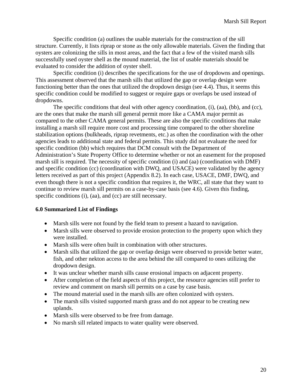Specific condition (a) outlines the usable materials for the construction of the sill structure. Currently, it lists riprap or stone as the only allowable materials. Given the finding that oysters are colonizing the sills in most areas, and the fact that a few of the visited marsh sills successfully used oyster shell as the mound material, the list of usable materials should be evaluated to consider the addition of oyster shell.

 Specific condition (i) describes the specifications for the use of dropdowns and openings. This assessment observed that the marsh sills that utilized the gap or overlap design were functioning better than the ones that utilized the dropdown design (see 4.4). Thus, it seems this specific condition could be modified to suggest or require gaps or overlaps be used instead of dropdowns.

 The specific conditions that deal with other agency coordination, (i), (aa), (bb), and (cc), are the ones that make the marsh sill general permit more like a CAMA major permit as compared to the other CAMA general permits. These are also the specific conditions that make installing a marsh sill require more cost and processing time compared to the other shoreline stabilization options (bulkheads, riprap revetments, etc.) as often the coordination with the other agencies leads to additional state and federal permits. This study did not evaluate the need for specific condition (bb) which requires that DCM consult with the Department of Administration's State Property Office to determine whether or not an easement for the proposed marsh sill is required. The necessity of specific condition (i) and (aa) (coordination with DMF) and specific condition (cc) (coordination with DWQ, and USACE) were validated by the agency letters received as part of this project (Appendix 8.2). In each case, USACE, DMF, DWQ, and even though there is not a specific condition that requires it, the WRC, all state that they want to continue to review marsh sill permits on a case-by-case basis (see 4.6). Given this finding, specific conditions (i), (aa), and (cc) are still necessary.

# **6.0 Summarized List of Findings**

- Marsh sills were not found by the field team to present a hazard to navigation.
- Marsh sills were observed to provide erosion protection to the property upon which they were installed.
- Marsh sills were often built in combination with other structures.
- Marsh sills that utilized the gap or overlap design were observed to provide better water, fish, and other nekton access to the area behind the sill compared to ones utilizing the dropdown design.
- It was unclear whether marsh sills cause erosional impacts on adjacent property.
- After completion of the field aspects of this project, the resource agencies still prefer to review and comment on marsh sill permits on a case by case basis.
- The mound material used in the marsh sills are often colonized with oysters.
- The marsh sills visited supported marsh grass and do not appear to be creating new uplands.
- Marsh sills were observed to be free from damage.
- No marsh sill related impacts to water quality were observed.